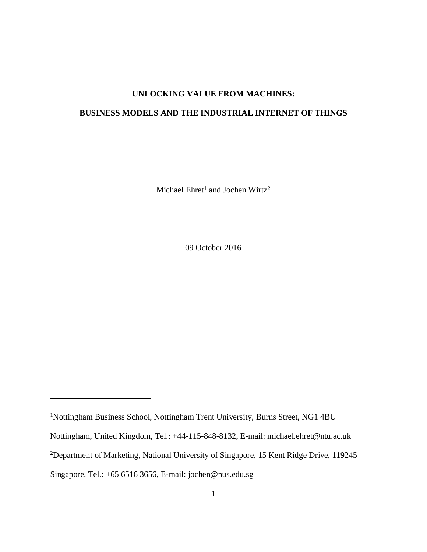# **UNLOCKING VALUE FROM MACHINES:**

# **BUSINESS MODELS AND THE INDUSTRIAL INTERNET OF THINGS**

Michael  $E$ hret<sup>1</sup> and Jochen Wirtz<sup>2</sup>

09 October 2016

 $\overline{a}$ 

<sup>1</sup>Nottingham Business School, Nottingham Trent University, Burns Street, NG1 4BU Nottingham, United Kingdom, Tel.: +44-115-848-8132, E-mail: michael.ehret@ntu.ac.uk <sup>2</sup>Department of Marketing, National University of Singapore, 15 Kent Ridge Drive, 119245 Singapore, Tel.: +65 6516 3656, E-mail: jochen@nus.edu.sg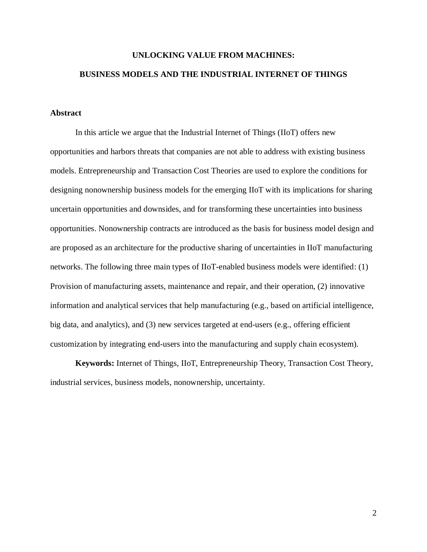# **UNLOCKING VALUE FROM MACHINES: BUSINESS MODELS AND THE INDUSTRIAL INTERNET OF THINGS**

## **Abstract**

In this article we argue that the Industrial Internet of Things (IIoT) offers new opportunities and harbors threats that companies are not able to address with existing business models. Entrepreneurship and Transaction Cost Theories are used to explore the conditions for designing nonownership business models for the emerging IIoT with its implications for sharing uncertain opportunities and downsides, and for transforming these uncertainties into business opportunities. Nonownership contracts are introduced as the basis for business model design and are proposed as an architecture for the productive sharing of uncertainties in IIoT manufacturing networks. The following three main types of IIoT-enabled business models were identified: (1) Provision of manufacturing assets, maintenance and repair, and their operation, (2) innovative information and analytical services that help manufacturing (e.g., based on artificial intelligence, big data, and analytics), and (3) new services targeted at end-users (e.g., offering efficient customization by integrating end-users into the manufacturing and supply chain ecosystem).

**Keywords:** Internet of Things, IIoT, Entrepreneurship Theory, Transaction Cost Theory, industrial services, business models, nonownership, uncertainty.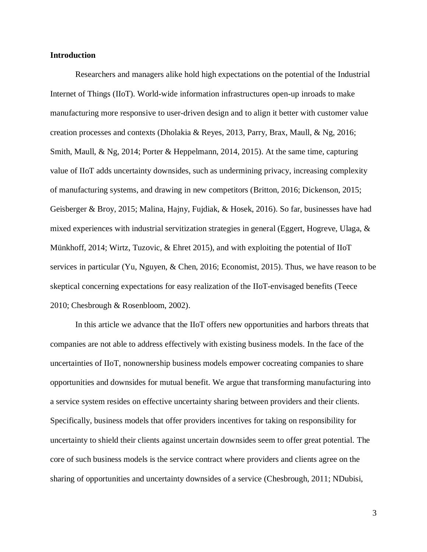### **Introduction**

Researchers and managers alike hold high expectations on the potential of the Industrial Internet of Things (IIoT). World-wide information infrastructures open-up inroads to make manufacturing more responsive to user-driven design and to align it better with customer value creation processes and contexts (Dholakia & Reyes, 2013, Parry, Brax, Maull, & Ng, 2016; Smith, Maull, & Ng, 2014; Porter & Heppelmann, 2014, 2015). At the same time, capturing value of IIoT adds uncertainty downsides, such as undermining privacy, increasing complexity of manufacturing systems, and drawing in new competitors (Britton, 2016; Dickenson, 2015; Geisberger & Broy, 2015; Malina, Hajny, Fujdiak, & Hosek, 2016). So far, businesses have had mixed experiences with industrial servitization strategies in general (Eggert, Hogreve, Ulaga,  $\&$ Münkhoff, 2014; Wirtz, Tuzovic, & Ehret 2015), and with exploiting the potential of IIoT services in particular (Yu, Nguyen, & Chen, 2016; Economist, 2015). Thus, we have reason to be skeptical concerning expectations for easy realization of the IIoT-envisaged benefits (Teece 2010; Chesbrough & Rosenbloom, 2002).

In this article we advance that the IIoT offers new opportunities and harbors threats that companies are not able to address effectively with existing business models. In the face of the uncertainties of IIoT, nonownership business models empower cocreating companies to share opportunities and downsides for mutual benefit. We argue that transforming manufacturing into a service system resides on effective uncertainty sharing between providers and their clients. Specifically, business models that offer providers incentives for taking on responsibility for uncertainty to shield their clients against uncertain downsides seem to offer great potential. The core of such business models is the service contract where providers and clients agree on the sharing of opportunities and uncertainty downsides of a service (Chesbrough, 2011; NDubisi,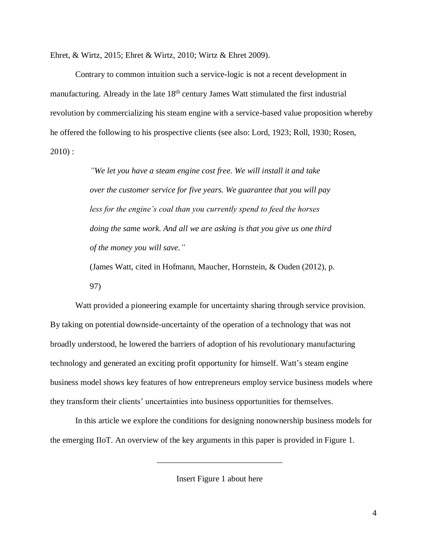Ehret, & Wirtz, 2015; Ehret & Wirtz, 2010; Wirtz & Ehret 2009).

Contrary to common intuition such a service-logic is not a recent development in manufacturing. Already in the late 18<sup>th</sup> century James Watt stimulated the first industrial revolution by commercializing his steam engine with a service-based value proposition whereby he offered the following to his prospective clients (see also: Lord, 1923; Roll, 1930; Rosen,  $2010$ :

> *"We let you have a steam engine cost free. We will install it and take over the customer service for five years. We guarantee that you will pay less for the engine's coal than you currently spend to feed the horses doing the same work. And all we are asking is that you give us one third of the money you will save."*

> (James Watt, cited in Hofmann, Maucher, Hornstein, & Ouden (2012), p. 97)

Watt provided a pioneering example for uncertainty sharing through service provision. By taking on potential downside-uncertainty of the operation of a technology that was not broadly understood, he lowered the barriers of adoption of his revolutionary manufacturing technology and generated an exciting profit opportunity for himself. Watt's steam engine business model shows key features of how entrepreneurs employ service business models where they transform their clients' uncertainties into business opportunities for themselves.

In this article we explore the conditions for designing nonownership business models for the emerging IIoT. An overview of the key arguments in this paper is provided in Figure 1.

Insert Figure 1 about here

\_\_\_\_\_\_\_\_\_\_\_\_\_\_\_\_\_\_\_\_\_\_\_\_\_\_\_\_\_\_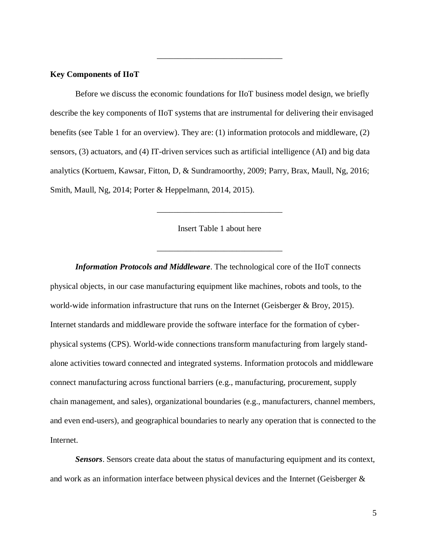## **Key Components of IIoT**

Before we discuss the economic foundations for IIoT business model design, we briefly describe the key components of IIoT systems that are instrumental for delivering their envisaged benefits (see Table 1 for an overview). They are: (1) information protocols and middleware, (2) sensors, (3) actuators, and (4) IT-driven services such as artificial intelligence (AI) and big data analytics (Kortuem, Kawsar, Fitton, D, & Sundramoorthy, 2009; Parry, Brax, Maull, Ng, 2016; Smith, Maull, Ng, 2014; Porter & Heppelmann, 2014, 2015).

\_\_\_\_\_\_\_\_\_\_\_\_\_\_\_\_\_\_\_\_\_\_\_\_\_\_\_\_\_\_

Insert Table 1 about here

\_\_\_\_\_\_\_\_\_\_\_\_\_\_\_\_\_\_\_\_\_\_\_\_\_\_\_\_\_\_

\_\_\_\_\_\_\_\_\_\_\_\_\_\_\_\_\_\_\_\_\_\_\_\_\_\_\_\_\_\_

*Information Protocols and Middleware*. The technological core of the IIoT connects physical objects, in our case manufacturing equipment like machines, robots and tools, to the world-wide information infrastructure that runs on the Internet (Geisberger & Broy, 2015). Internet standards and middleware provide the software interface for the formation of cyberphysical systems (CPS). World-wide connections transform manufacturing from largely standalone activities toward connected and integrated systems. Information protocols and middleware connect manufacturing across functional barriers (e.g., manufacturing, procurement, supply chain management, and sales), organizational boundaries (e.g., manufacturers, channel members, and even end-users), and geographical boundaries to nearly any operation that is connected to the Internet.

*Sensors*. Sensors create data about the status of manufacturing equipment and its context, and work as an information interface between physical devices and the Internet (Geisberger &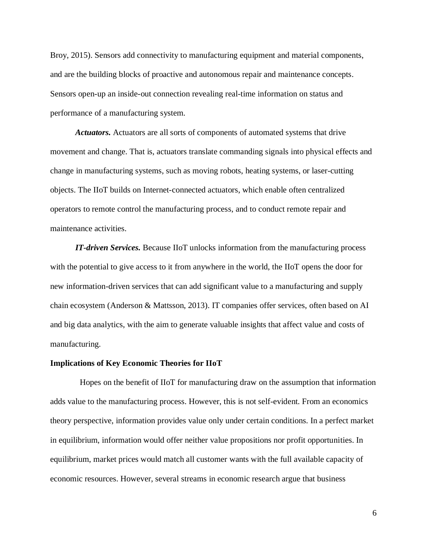Broy, 2015). Sensors add connectivity to manufacturing equipment and material components, and are the building blocks of proactive and autonomous repair and maintenance concepts. Sensors open-up an inside-out connection revealing real-time information on status and performance of a manufacturing system.

*Actuators.* Actuators are all sorts of components of automated systems that drive movement and change. That is, actuators translate commanding signals into physical effects and change in manufacturing systems, such as moving robots, heating systems, or laser-cutting objects. The IIoT builds on Internet-connected actuators, which enable often centralized operators to remote control the manufacturing process, and to conduct remote repair and maintenance activities.

*IT-driven Services.* Because IIoT unlocks information from the manufacturing process with the potential to give access to it from anywhere in the world, the IIoT opens the door for new information-driven services that can add significant value to a manufacturing and supply chain ecosystem (Anderson & Mattsson, 2013). IT companies offer services, often based on AI and big data analytics, with the aim to generate valuable insights that affect value and costs of manufacturing.

#### **Implications of Key Economic Theories for IIoT**

Hopes on the benefit of IIoT for manufacturing draw on the assumption that information adds value to the manufacturing process. However, this is not self-evident. From an economics theory perspective, information provides value only under certain conditions. In a perfect market in equilibrium, information would offer neither value propositions nor profit opportunities. In equilibrium, market prices would match all customer wants with the full available capacity of economic resources. However, several streams in economic research argue that business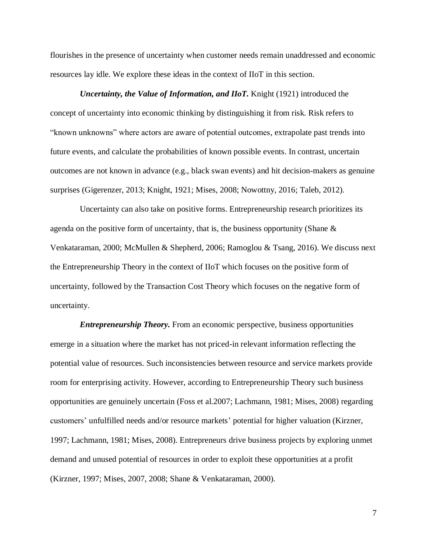flourishes in the presence of uncertainty when customer needs remain unaddressed and economic resources lay idle. We explore these ideas in the context of IIoT in this section.

*Uncertainty, the Value of Information, and IIoT.* Knight (1921) introduced the concept of uncertainty into economic thinking by distinguishing it from risk. Risk refers to "known unknowns" where actors are aware of potential outcomes, extrapolate past trends into future events, and calculate the probabilities of known possible events. In contrast, uncertain outcomes are not known in advance (e.g., black swan events) and hit decision-makers as genuine surprises (Gigerenzer, 2013; Knight, 1921; Mises, 2008; Nowottny, 2016; Taleb, 2012).

Uncertainty can also take on positive forms. Entrepreneurship research prioritizes its agenda on the positive form of uncertainty, that is, the business opportunity (Shane  $\&$ Venkataraman, 2000; McMullen & Shepherd, 2006; Ramoglou & Tsang, 2016). We discuss next the Entrepreneurship Theory in the context of IIoT which focuses on the positive form of uncertainty, followed by the Transaction Cost Theory which focuses on the negative form of uncertainty.

*Entrepreneurship Theory.* From an economic perspective, business opportunities emerge in a situation where the market has not priced-in relevant information reflecting the potential value of resources. Such inconsistencies between resource and service markets provide room for enterprising activity. However, according to Entrepreneurship Theory such business opportunities are genuinely uncertain (Foss et al.2007; Lachmann, 1981; Mises, 2008) regarding customers' unfulfilled needs and/or resource markets' potential for higher valuation (Kirzner, 1997; Lachmann, 1981; Mises, 2008). Entrepreneurs drive business projects by exploring unmet demand and unused potential of resources in order to exploit these opportunities at a profit (Kirzner, 1997; Mises, 2007, 2008; Shane & Venkataraman, 2000).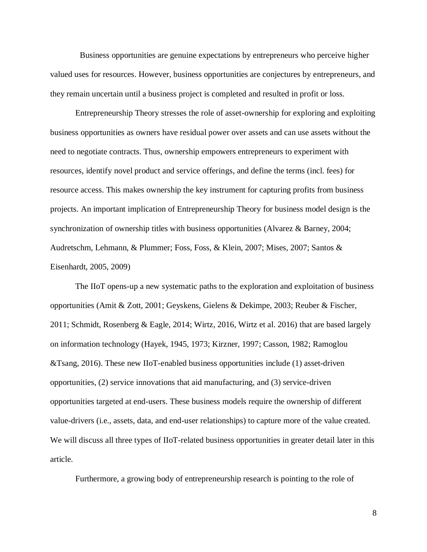Business opportunities are genuine expectations by entrepreneurs who perceive higher valued uses for resources. However, business opportunities are conjectures by entrepreneurs, and they remain uncertain until a business project is completed and resulted in profit or loss.

Entrepreneurship Theory stresses the role of asset-ownership for exploring and exploiting business opportunities as owners have residual power over assets and can use assets without the need to negotiate contracts. Thus, ownership empowers entrepreneurs to experiment with resources, identify novel product and service offerings, and define the terms (incl. fees) for resource access. This makes ownership the key instrument for capturing profits from business projects. An important implication of Entrepreneurship Theory for business model design is the synchronization of ownership titles with business opportunities (Alvarez & Barney, 2004; Audretschm, Lehmann, & Plummer; Foss, Foss, & Klein, 2007; Mises, 2007; Santos & Eisenhardt, 2005, 2009)

The IIoT opens-up a new systematic paths to the exploration and exploitation of business opportunities (Amit & Zott, 2001; Geyskens, Gielens & Dekimpe, 2003; Reuber & Fischer, 2011; Schmidt, Rosenberg & Eagle, 2014; Wirtz, 2016, Wirtz et al. 2016) that are based largely on information technology (Hayek, 1945, 1973; Kirzner, 1997; Casson, 1982; Ramoglou &Tsang, 2016). These new IIoT-enabled business opportunities include (1) asset-driven opportunities, (2) service innovations that aid manufacturing, and (3) service-driven opportunities targeted at end-users. These business models require the ownership of different value-drivers (i.e., assets, data, and end-user relationships) to capture more of the value created. We will discuss all three types of IIoT-related business opportunities in greater detail later in this article.

Furthermore, a growing body of entrepreneurship research is pointing to the role of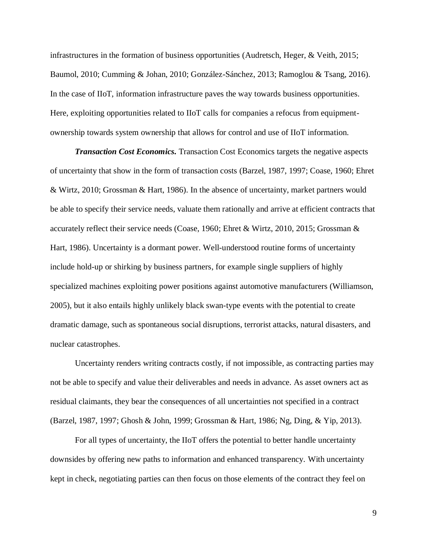infrastructures in the formation of business opportunities (Audretsch, Heger, & Veith, 2015; Baumol, 2010; Cumming & Johan, 2010; González-Sánchez, 2013; Ramoglou & Tsang, 2016). In the case of IIoT, information infrastructure paves the way towards business opportunities. Here, exploiting opportunities related to IIoT calls for companies a refocus from equipmentownership towards system ownership that allows for control and use of IIoT information.

*Transaction Cost Economics.* Transaction Cost Economics targets the negative aspects of uncertainty that show in the form of transaction costs (Barzel, 1987, 1997; Coase, 1960; Ehret & Wirtz, 2010; Grossman & Hart, 1986). In the absence of uncertainty, market partners would be able to specify their service needs, valuate them rationally and arrive at efficient contracts that accurately reflect their service needs (Coase, 1960; Ehret & Wirtz, 2010, 2015; Grossman & Hart, 1986). Uncertainty is a dormant power. Well-understood routine forms of uncertainty include hold-up or shirking by business partners, for example single suppliers of highly specialized machines exploiting power positions against automotive manufacturers (Williamson, 2005), but it also entails highly unlikely black swan-type events with the potential to create dramatic damage, such as spontaneous social disruptions, terrorist attacks, natural disasters, and nuclear catastrophes.

Uncertainty renders writing contracts costly, if not impossible, as contracting parties may not be able to specify and value their deliverables and needs in advance. As asset owners act as residual claimants, they bear the consequences of all uncertainties not specified in a contract (Barzel, 1987, 1997; Ghosh & John, 1999; Grossman & Hart, 1986; Ng, Ding, & Yip, 2013).

For all types of uncertainty, the IIoT offers the potential to better handle uncertainty downsides by offering new paths to information and enhanced transparency. With uncertainty kept in check, negotiating parties can then focus on those elements of the contract they feel on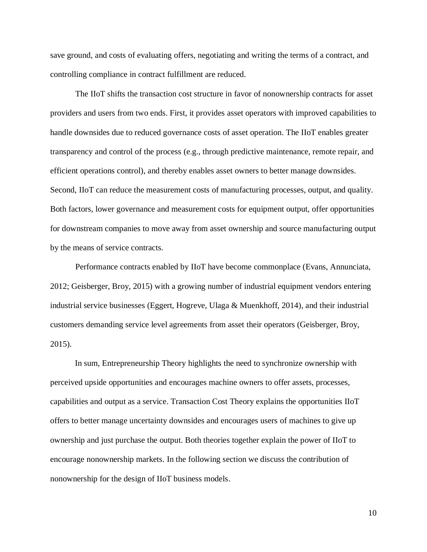save ground, and costs of evaluating offers, negotiating and writing the terms of a contract, and controlling compliance in contract fulfillment are reduced.

The IIoT shifts the transaction cost structure in favor of nonownership contracts for asset providers and users from two ends. First, it provides asset operators with improved capabilities to handle downsides due to reduced governance costs of asset operation. The IIoT enables greater transparency and control of the process (e.g., through predictive maintenance, remote repair, and efficient operations control), and thereby enables asset owners to better manage downsides. Second, IIoT can reduce the measurement costs of manufacturing processes, output, and quality. Both factors, lower governance and measurement costs for equipment output, offer opportunities for downstream companies to move away from asset ownership and source manufacturing output by the means of service contracts.

Performance contracts enabled by IIoT have become commonplace (Evans, Annunciata, 2012; Geisberger, Broy, 2015) with a growing number of industrial equipment vendors entering industrial service businesses (Eggert, Hogreve, Ulaga & Muenkhoff, 2014), and their industrial customers demanding service level agreements from asset their operators (Geisberger, Broy, 2015).

In sum, Entrepreneurship Theory highlights the need to synchronize ownership with perceived upside opportunities and encourages machine owners to offer assets, processes, capabilities and output as a service. Transaction Cost Theory explains the opportunities IIoT offers to better manage uncertainty downsides and encourages users of machines to give up ownership and just purchase the output. Both theories together explain the power of IIoT to encourage nonownership markets. In the following section we discuss the contribution of nonownership for the design of IIoT business models.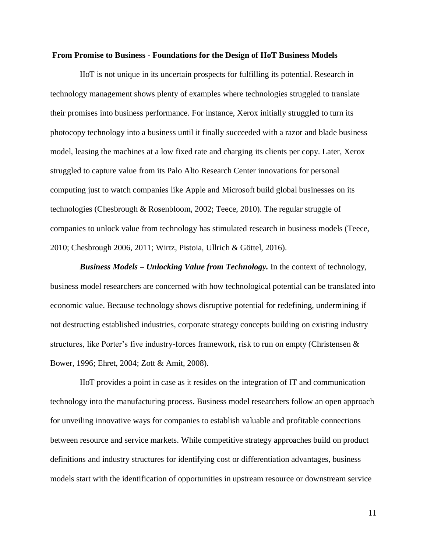#### **From Promise to Business - Foundations for the Design of IIoT Business Models**

IIoT is not unique in its uncertain prospects for fulfilling its potential. Research in technology management shows plenty of examples where technologies struggled to translate their promises into business performance. For instance, Xerox initially struggled to turn its photocopy technology into a business until it finally succeeded with a razor and blade business model, leasing the machines at a low fixed rate and charging its clients per copy. Later, Xerox struggled to capture value from its Palo Alto Research Center innovations for personal computing just to watch companies like Apple and Microsoft build global businesses on its technologies (Chesbrough & Rosenbloom, 2002; Teece, 2010). The regular struggle of companies to unlock value from technology has stimulated research in business models (Teece, 2010; Chesbrough 2006, 2011; Wirtz, Pistoia, Ullrich & Göttel, 2016).

*Business Models – Unlocking Value from Technology.* In the context of technology, business model researchers are concerned with how technological potential can be translated into economic value. Because technology shows disruptive potential for redefining, undermining if not destructing established industries, corporate strategy concepts building on existing industry structures, like Porter's five industry-forces framework, risk to run on empty (Christensen & Bower, 1996; Ehret, 2004; Zott & Amit, 2008).

IIoT provides a point in case as it resides on the integration of IT and communication technology into the manufacturing process. Business model researchers follow an open approach for unveiling innovative ways for companies to establish valuable and profitable connections between resource and service markets. While competitive strategy approaches build on product definitions and industry structures for identifying cost or differentiation advantages, business models start with the identification of opportunities in upstream resource or downstream service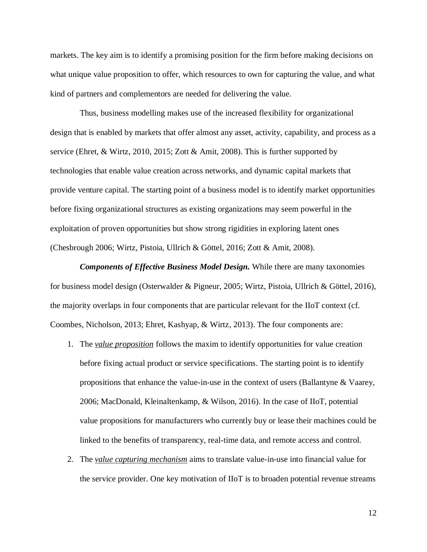markets. The key aim is to identify a promising position for the firm before making decisions on what unique value proposition to offer, which resources to own for capturing the value, and what kind of partners and complementors are needed for delivering the value.

Thus, business modelling makes use of the increased flexibility for organizational design that is enabled by markets that offer almost any asset, activity, capability, and process as a service (Ehret, & Wirtz, 2010, 2015; Zott & Amit, 2008). This is further supported by technologies that enable value creation across networks, and dynamic capital markets that provide venture capital. The starting point of a business model is to identify market opportunities before fixing organizational structures as existing organizations may seem powerful in the exploitation of proven opportunities but show strong rigidities in exploring latent ones (Chesbrough 2006; Wirtz, Pistoia, Ullrich & Göttel, 2016; Zott & Amit, 2008).

*Components of Effective Business Model Design.* While there are many taxonomies for business model design (Osterwalder & Pigneur, 2005; Wirtz, Pistoia, Ullrich & Göttel, 2016), the majority overlaps in four components that are particular relevant for the IIoT context (cf. Coombes, Nicholson, 2013; Ehret, Kashyap, & Wirtz, 2013). The four components are:

- 1. The *value proposition* follows the maxim to identify opportunities for value creation before fixing actual product or service specifications. The starting point is to identify propositions that enhance the value-in-use in the context of users (Ballantyne & Vaarey, 2006; MacDonald, Kleinaltenkamp, & Wilson, 2016). In the case of IIoT, potential value propositions for manufacturers who currently buy or lease their machines could be linked to the benefits of transparency, real-time data, and remote access and control.
- 2. The *value capturing mechanism* aims to translate value-in-use into financial value for the service provider. One key motivation of IIoT is to broaden potential revenue streams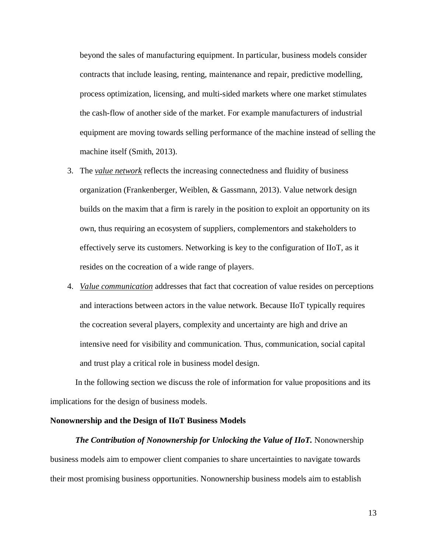beyond the sales of manufacturing equipment. In particular, business models consider contracts that include leasing, renting, maintenance and repair, predictive modelling, process optimization, licensing, and multi-sided markets where one market stimulates the cash-flow of another side of the market. For example manufacturers of industrial equipment are moving towards selling performance of the machine instead of selling the machine itself (Smith, 2013).

- 3. The *value network* reflects the increasing connectedness and fluidity of business organization (Frankenberger, Weiblen, & Gassmann, 2013). Value network design builds on the maxim that a firm is rarely in the position to exploit an opportunity on its own, thus requiring an ecosystem of suppliers, complementors and stakeholders to effectively serve its customers. Networking is key to the configuration of IIoT, as it resides on the cocreation of a wide range of players.
- 4. *Value communication* addresses that fact that cocreation of value resides on perceptions and interactions between actors in the value network. Because IIoT typically requires the cocreation several players, complexity and uncertainty are high and drive an intensive need for visibility and communication. Thus, communication, social capital and trust play a critical role in business model design.

In the following section we discuss the role of information for value propositions and its implications for the design of business models.

#### **Nonownership and the Design of IIoT Business Models**

*The Contribution of Nonownership for Unlocking the Value of IIoT.* Nonownership business models aim to empower client companies to share uncertainties to navigate towards their most promising business opportunities. Nonownership business models aim to establish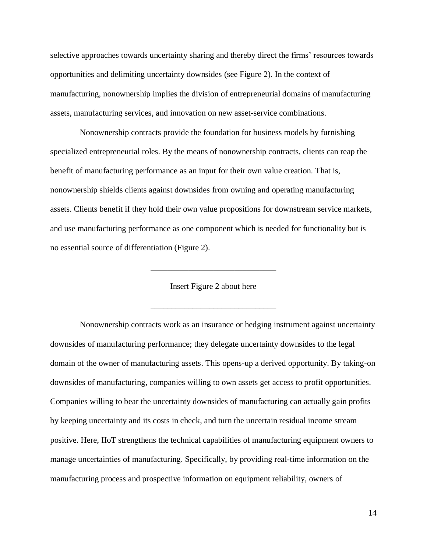selective approaches towards uncertainty sharing and thereby direct the firms' resources towards opportunities and delimiting uncertainty downsides (see Figure 2). In the context of manufacturing, nonownership implies the division of entrepreneurial domains of manufacturing assets, manufacturing services, and innovation on new asset-service combinations.

Nonownership contracts provide the foundation for business models by furnishing specialized entrepreneurial roles. By the means of nonownership contracts, clients can reap the benefit of manufacturing performance as an input for their own value creation. That is, nonownership shields clients against downsides from owning and operating manufacturing assets. Clients benefit if they hold their own value propositions for downstream service markets, and use manufacturing performance as one component which is needed for functionality but is no essential source of differentiation (Figure 2).

Insert Figure 2 about here

\_\_\_\_\_\_\_\_\_\_\_\_\_\_\_\_\_\_\_\_\_\_\_\_\_\_\_\_\_\_

\_\_\_\_\_\_\_\_\_\_\_\_\_\_\_\_\_\_\_\_\_\_\_\_\_\_\_\_\_\_

Nonownership contracts work as an insurance or hedging instrument against uncertainty downsides of manufacturing performance; they delegate uncertainty downsides to the legal domain of the owner of manufacturing assets. This opens-up a derived opportunity. By taking-on downsides of manufacturing, companies willing to own assets get access to profit opportunities. Companies willing to bear the uncertainty downsides of manufacturing can actually gain profits by keeping uncertainty and its costs in check, and turn the uncertain residual income stream positive. Here, IIoT strengthens the technical capabilities of manufacturing equipment owners to manage uncertainties of manufacturing. Specifically, by providing real-time information on the manufacturing process and prospective information on equipment reliability, owners of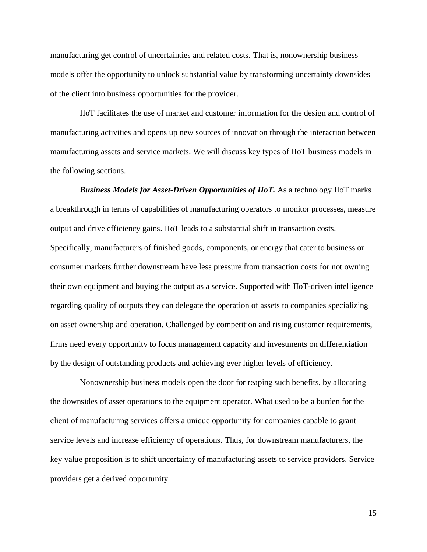manufacturing get control of uncertainties and related costs. That is, nonownership business models offer the opportunity to unlock substantial value by transforming uncertainty downsides of the client into business opportunities for the provider.

IIoT facilitates the use of market and customer information for the design and control of manufacturing activities and opens up new sources of innovation through the interaction between manufacturing assets and service markets. We will discuss key types of IIoT business models in the following sections.

*Business Models for Asset-Driven Opportunities of IIoT.* As a technology IIoT marks a breakthrough in terms of capabilities of manufacturing operators to monitor processes, measure output and drive efficiency gains. IIoT leads to a substantial shift in transaction costs. Specifically, manufacturers of finished goods, components, or energy that cater to business or consumer markets further downstream have less pressure from transaction costs for not owning their own equipment and buying the output as a service. Supported with IIoT-driven intelligence regarding quality of outputs they can delegate the operation of assets to companies specializing on asset ownership and operation. Challenged by competition and rising customer requirements, firms need every opportunity to focus management capacity and investments on differentiation by the design of outstanding products and achieving ever higher levels of efficiency.

Nonownership business models open the door for reaping such benefits, by allocating the downsides of asset operations to the equipment operator. What used to be a burden for the client of manufacturing services offers a unique opportunity for companies capable to grant service levels and increase efficiency of operations. Thus, for downstream manufacturers, the key value proposition is to shift uncertainty of manufacturing assets to service providers. Service providers get a derived opportunity.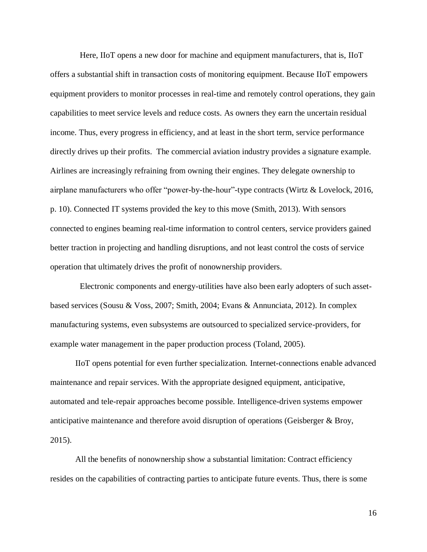Here, IIoT opens a new door for machine and equipment manufacturers, that is, IIoT offers a substantial shift in transaction costs of monitoring equipment. Because IIoT empowers equipment providers to monitor processes in real-time and remotely control operations, they gain capabilities to meet service levels and reduce costs. As owners they earn the uncertain residual income. Thus, every progress in efficiency, and at least in the short term, service performance directly drives up their profits. The commercial aviation industry provides a signature example. Airlines are increasingly refraining from owning their engines. They delegate ownership to airplane manufacturers who offer "power-by-the-hour"-type contracts (Wirtz & Lovelock, 2016, p. 10). Connected IT systems provided the key to this move (Smith, 2013). With sensors connected to engines beaming real-time information to control centers, service providers gained better traction in projecting and handling disruptions, and not least control the costs of service operation that ultimately drives the profit of nonownership providers.

Electronic components and energy-utilities have also been early adopters of such assetbased services (Sousu & Voss, 2007; Smith, 2004; Evans & Annunciata, 2012). In complex manufacturing systems, even subsystems are outsourced to specialized service-providers, for example water management in the paper production process (Toland, 2005).

IIoT opens potential for even further specialization. Internet-connections enable advanced maintenance and repair services. With the appropriate designed equipment, anticipative, automated and tele-repair approaches become possible. Intelligence-driven systems empower anticipative maintenance and therefore avoid disruption of operations (Geisberger & Broy, 2015).

All the benefits of nonownership show a substantial limitation: Contract efficiency resides on the capabilities of contracting parties to anticipate future events. Thus, there is some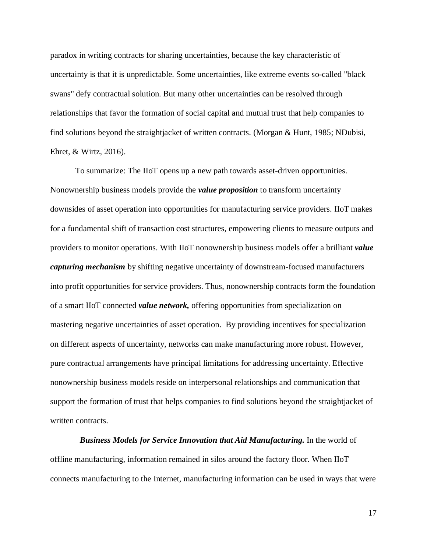paradox in writing contracts for sharing uncertainties, because the key characteristic of uncertainty is that it is unpredictable. Some uncertainties, like extreme events so-called "black swans" defy contractual solution. But many other uncertainties can be resolved through relationships that favor the formation of social capital and mutual trust that help companies to find solutions beyond the straightjacket of written contracts. (Morgan & Hunt, 1985; NDubisi, Ehret, & Wirtz, 2016).

To summarize: The IIoT opens up a new path towards asset-driven opportunities. Nonownership business models provide the *value proposition* to transform uncertainty downsides of asset operation into opportunities for manufacturing service providers. IIoT makes for a fundamental shift of transaction cost structures, empowering clients to measure outputs and providers to monitor operations. With IIoT nonownership business models offer a brilliant *value capturing mechanism* by shifting negative uncertainty of downstream-focused manufacturers into profit opportunities for service providers. Thus, nonownership contracts form the foundation of a smart IIoT connected *value network,* offering opportunities from specialization on mastering negative uncertainties of asset operation. By providing incentives for specialization on different aspects of uncertainty, networks can make manufacturing more robust. However, pure contractual arrangements have principal limitations for addressing uncertainty. Effective nonownership business models reside on interpersonal relationships and communication that support the formation of trust that helps companies to find solutions beyond the straightjacket of written contracts.

*Business Models for Service Innovation that Aid Manufacturing.* In the world of offline manufacturing, information remained in silos around the factory floor. When IIoT connects manufacturing to the Internet, manufacturing information can be used in ways that were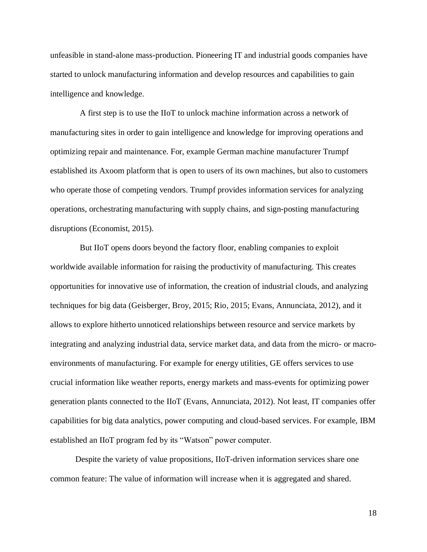unfeasible in stand-alone mass-production. Pioneering IT and industrial goods companies have started to unlock manufacturing information and develop resources and capabilities to gain intelligence and knowledge.

A first step is to use the IIoT to unlock machine information across a network of manufacturing sites in order to gain intelligence and knowledge for improving operations and optimizing repair and maintenance. For, example German machine manufacturer Trumpf established its Axoom platform that is open to users of its own machines, but also to customers who operate those of competing vendors. Trumpf provides information services for analyzing operations, orchestrating manufacturing with supply chains, and sign-posting manufacturing disruptions (Economist, 2015).

But IIoT opens doors beyond the factory floor, enabling companies to exploit worldwide available information for raising the productivity of manufacturing. This creates opportunities for innovative use of information, the creation of industrial clouds, and analyzing techniques for big data (Geisberger, Broy, 2015; Rio, 2015; Evans, Annunciata, 2012), and it allows to explore hitherto unnoticed relationships between resource and service markets by integrating and analyzing industrial data, service market data, and data from the micro- or macroenvironments of manufacturing. For example for energy utilities, GE offers services to use crucial information like weather reports, energy markets and mass-events for optimizing power generation plants connected to the IIoT (Evans, Annunciata, 2012). Not least, IT companies offer capabilities for big data analytics, power computing and cloud-based services. For example, IBM established an IIoT program fed by its "Watson" power computer.

Despite the variety of value propositions, IIoT-driven information services share one common feature: The value of information will increase when it is aggregated and shared.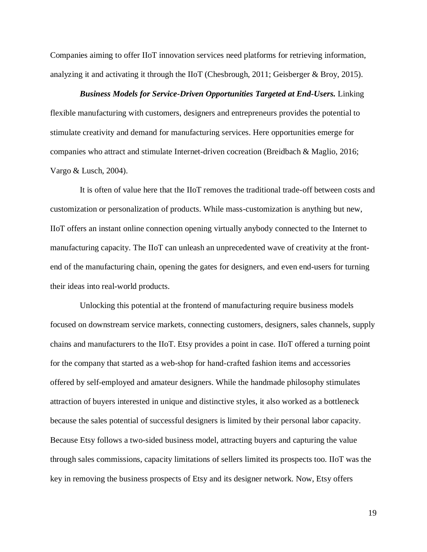Companies aiming to offer IIoT innovation services need platforms for retrieving information, analyzing it and activating it through the IIoT (Chesbrough, 2011; Geisberger & Broy, 2015).

*Business Models for Service-Driven Opportunities Targeted at End-Users.* Linking flexible manufacturing with customers, designers and entrepreneurs provides the potential to stimulate creativity and demand for manufacturing services. Here opportunities emerge for companies who attract and stimulate Internet-driven cocreation (Breidbach & Maglio, 2016; Vargo & Lusch, 2004).

It is often of value here that the IIoT removes the traditional trade-off between costs and customization or personalization of products. While mass-customization is anything but new, IIoT offers an instant online connection opening virtually anybody connected to the Internet to manufacturing capacity. The IIoT can unleash an unprecedented wave of creativity at the frontend of the manufacturing chain, opening the gates for designers, and even end-users for turning their ideas into real-world products.

Unlocking this potential at the frontend of manufacturing require business models focused on downstream service markets, connecting customers, designers, sales channels, supply chains and manufacturers to the IIoT. Etsy provides a point in case. IIoT offered a turning point for the company that started as a web-shop for hand-crafted fashion items and accessories offered by self-employed and amateur designers. While the handmade philosophy stimulates attraction of buyers interested in unique and distinctive styles, it also worked as a bottleneck because the sales potential of successful designers is limited by their personal labor capacity. Because Etsy follows a two-sided business model, attracting buyers and capturing the value through sales commissions, capacity limitations of sellers limited its prospects too. IIoT was the key in removing the business prospects of Etsy and its designer network. Now, Etsy offers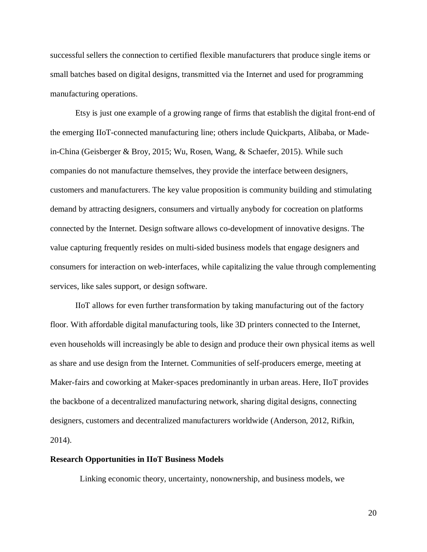successful sellers the connection to certified flexible manufacturers that produce single items or small batches based on digital designs, transmitted via the Internet and used for programming manufacturing operations.

Etsy is just one example of a growing range of firms that establish the digital front-end of the emerging IIoT-connected manufacturing line; others include Quickparts, Alibaba, or Madein-China (Geisberger & Broy, 2015; Wu, Rosen, Wang, & Schaefer, 2015). While such companies do not manufacture themselves, they provide the interface between designers, customers and manufacturers. The key value proposition is community building and stimulating demand by attracting designers, consumers and virtually anybody for cocreation on platforms connected by the Internet. Design software allows co-development of innovative designs. The value capturing frequently resides on multi-sided business models that engage designers and consumers for interaction on web-interfaces, while capitalizing the value through complementing services, like sales support, or design software.

IIoT allows for even further transformation by taking manufacturing out of the factory floor. With affordable digital manufacturing tools, like 3D printers connected to the Internet, even households will increasingly be able to design and produce their own physical items as well as share and use design from the Internet. Communities of self-producers emerge, meeting at Maker-fairs and coworking at Maker-spaces predominantly in urban areas. Here, IIoT provides the backbone of a decentralized manufacturing network, sharing digital designs, connecting designers, customers and decentralized manufacturers worldwide (Anderson, 2012, Rifkin, 2014).

## **Research Opportunities in IIoT Business Models**

Linking economic theory, uncertainty, nonownership, and business models, we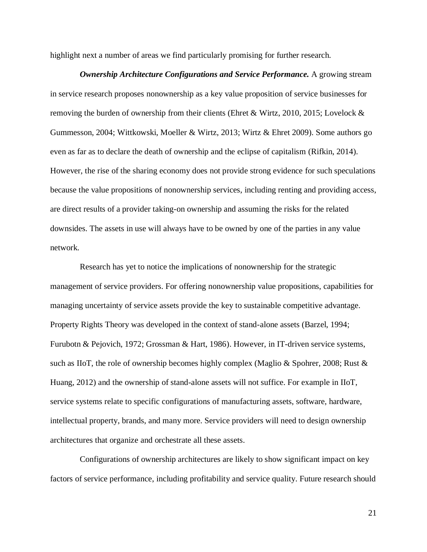highlight next a number of areas we find particularly promising for further research.

*Ownership Architecture Configurations and Service Performance.* A growing stream in service research proposes nonownership as a key value proposition of service businesses for removing the burden of ownership from their clients (Ehret & Wirtz, 2010, 2015; Lovelock & Gummesson, 2004; Wittkowski, Moeller & Wirtz, 2013; Wirtz & Ehret 2009). Some authors go even as far as to declare the death of ownership and the eclipse of capitalism (Rifkin, 2014). However, the rise of the sharing economy does not provide strong evidence for such speculations because the value propositions of nonownership services, including renting and providing access, are direct results of a provider taking-on ownership and assuming the risks for the related downsides. The assets in use will always have to be owned by one of the parties in any value network.

Research has yet to notice the implications of nonownership for the strategic management of service providers. For offering nonownership value propositions, capabilities for managing uncertainty of service assets provide the key to sustainable competitive advantage. Property Rights Theory was developed in the context of stand-alone assets (Barzel, 1994; Furubotn & Pejovich, 1972; Grossman & Hart, 1986). However, in IT-driven service systems, such as IIoT, the role of ownership becomes highly complex (Maglio & Spohrer, 2008; Rust & Huang, 2012) and the ownership of stand-alone assets will not suffice. For example in IIoT, service systems relate to specific configurations of manufacturing assets, software, hardware, intellectual property, brands, and many more. Service providers will need to design ownership architectures that organize and orchestrate all these assets.

Configurations of ownership architectures are likely to show significant impact on key factors of service performance, including profitability and service quality. Future research should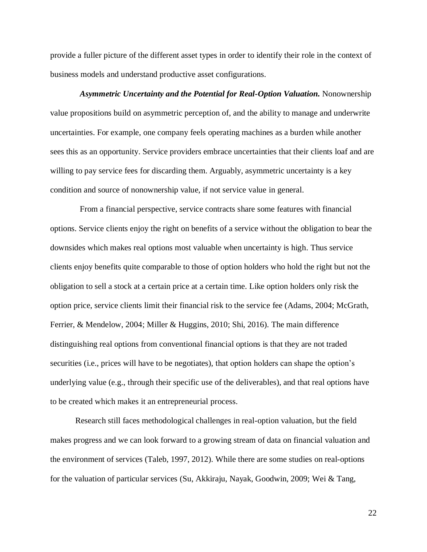provide a fuller picture of the different asset types in order to identify their role in the context of business models and understand productive asset configurations.

*Asymmetric Uncertainty and the Potential for Real-Option Valuation.* Nonownership value propositions build on asymmetric perception of, and the ability to manage and underwrite uncertainties. For example, one company feels operating machines as a burden while another sees this as an opportunity. Service providers embrace uncertainties that their clients loaf and are willing to pay service fees for discarding them. Arguably, asymmetric uncertainty is a key condition and source of nonownership value, if not service value in general.

From a financial perspective, service contracts share some features with financial options. Service clients enjoy the right on benefits of a service without the obligation to bear the downsides which makes real options most valuable when uncertainty is high. Thus service clients enjoy benefits quite comparable to those of option holders who hold the right but not the obligation to sell a stock at a certain price at a certain time. Like option holders only risk the option price, service clients limit their financial risk to the service fee (Adams, 2004; McGrath, Ferrier, & Mendelow, 2004; Miller & Huggins, 2010; Shi, 2016). The main difference distinguishing real options from conventional financial options is that they are not traded securities (i.e., prices will have to be negotiates), that option holders can shape the option's underlying value (e.g., through their specific use of the deliverables), and that real options have to be created which makes it an entrepreneurial process.

Research still faces methodological challenges in real-option valuation, but the field makes progress and we can look forward to a growing stream of data on financial valuation and the environment of services (Taleb, 1997, 2012). While there are some studies on real-options for the valuation of particular services (Su, Akkiraju, Nayak, Goodwin, 2009; Wei & Tang,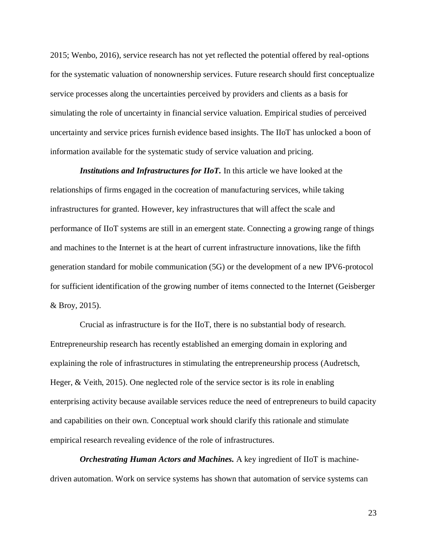2015; Wenbo, 2016), service research has not yet reflected the potential offered by real-options for the systematic valuation of nonownership services. Future research should first conceptualize service processes along the uncertainties perceived by providers and clients as a basis for simulating the role of uncertainty in financial service valuation. Empirical studies of perceived uncertainty and service prices furnish evidence based insights. The IIoT has unlocked a boon of information available for the systematic study of service valuation and pricing.

*Institutions and Infrastructures for IIoT.* In this article we have looked at the relationships of firms engaged in the cocreation of manufacturing services, while taking infrastructures for granted. However, key infrastructures that will affect the scale and performance of IIoT systems are still in an emergent state. Connecting a growing range of things and machines to the Internet is at the heart of current infrastructure innovations, like the fifth generation standard for mobile communication (5G) or the development of a new IPV6-protocol for sufficient identification of the growing number of items connected to the Internet (Geisberger & Broy, 2015).

Crucial as infrastructure is for the IIoT, there is no substantial body of research. Entrepreneurship research has recently established an emerging domain in exploring and explaining the role of infrastructures in stimulating the entrepreneurship process (Audretsch, Heger, & Veith, 2015). One neglected role of the service sector is its role in enabling enterprising activity because available services reduce the need of entrepreneurs to build capacity and capabilities on their own. Conceptual work should clarify this rationale and stimulate empirical research revealing evidence of the role of infrastructures.

*Orchestrating Human Actors and Machines.* A key ingredient of IIoT is machinedriven automation. Work on service systems has shown that automation of service systems can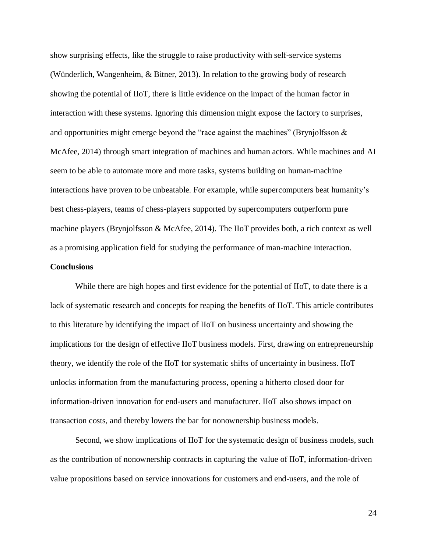show surprising effects, like the struggle to raise productivity with self-service systems (Wünderlich, Wangenheim, & Bitner, 2013). In relation to the growing body of research showing the potential of IIoT, there is little evidence on the impact of the human factor in interaction with these systems. Ignoring this dimension might expose the factory to surprises, and opportunities might emerge beyond the "race against the machines" (Brynjolfsson  $\&$ McAfee, 2014) through smart integration of machines and human actors. While machines and AI seem to be able to automate more and more tasks, systems building on human-machine interactions have proven to be unbeatable. For example, while supercomputers beat humanity's best chess-players, teams of chess-players supported by supercomputers outperform pure machine players (Brynjolfsson & McAfee, 2014). The IIoT provides both, a rich context as well as a promising application field for studying the performance of man-machine interaction.

## **Conclusions**

While there are high hopes and first evidence for the potential of IIoT, to date there is a lack of systematic research and concepts for reaping the benefits of IIoT. This article contributes to this literature by identifying the impact of IIoT on business uncertainty and showing the implications for the design of effective IIoT business models. First, drawing on entrepreneurship theory, we identify the role of the IIoT for systematic shifts of uncertainty in business. IIoT unlocks information from the manufacturing process, opening a hitherto closed door for information-driven innovation for end-users and manufacturer. IIoT also shows impact on transaction costs, and thereby lowers the bar for nonownership business models.

Second, we show implications of IIoT for the systematic design of business models, such as the contribution of nonownership contracts in capturing the value of IIoT, information-driven value propositions based on service innovations for customers and end-users, and the role of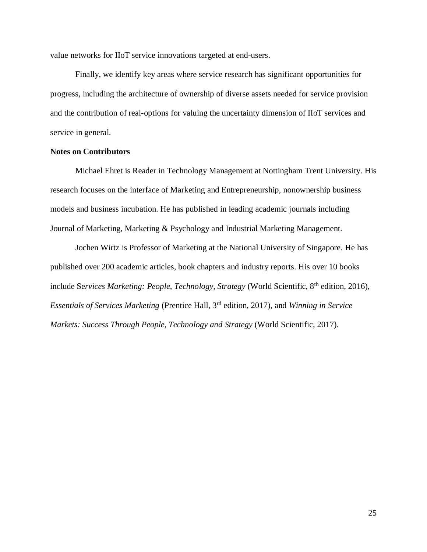value networks for IIoT service innovations targeted at end-users.

Finally, we identify key areas where service research has significant opportunities for progress, including the architecture of ownership of diverse assets needed for service provision and the contribution of real-options for valuing the uncertainty dimension of IIoT services and service in general.

# **Notes on Contributors**

Michael Ehret is Reader in Technology Management at Nottingham Trent University. His research focuses on the interface of Marketing and Entrepreneurship, nonownership business models and business incubation. He has published in leading academic journals including Journal of Marketing, Marketing & Psychology and Industrial Marketing Management.

Jochen Wirtz is Professor of Marketing at the National University of Singapore. He has published over 200 academic articles, book chapters and industry reports. His over 10 books include Se*rvices Marketing: People, Technology, Strategy* (World Scientific, 8th edition, 2016), *Essentials of Services Marketing* (Prentice Hall, 3 rd edition, 2017), and *Winning in Service Markets: Success Through People, Technology and Strategy* (World Scientific, 2017).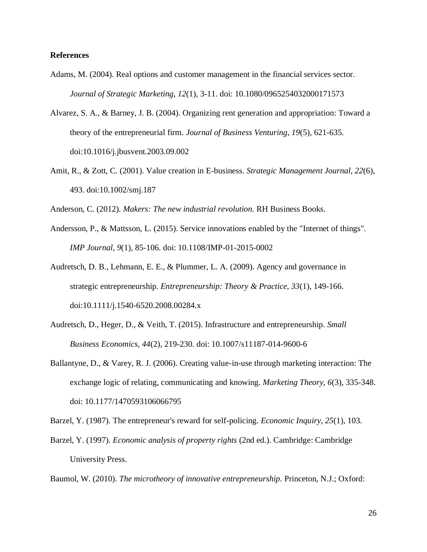## **References**

- Adams, M. (2004). Real options and customer management in the financial services sector. *Journal of Strategic Marketing, 12*(1), 3-11. doi: 10.1080/0965254032000171573
- Alvarez, S. A., & Barney, J. B. (2004). Organizing rent generation and appropriation: Toward a theory of the entrepreneurial firm*. Journal of Business Venturing, 19*(5), 621-635. doi:10.1016/j.jbusvent.2003.09.002
- Amit, R., & Zott, C. (2001). Value creation in E-business. *Strategic Management Journal, 22*(6), 493. doi:10.1002/smj.187

Anderson, C. (2012). *Makers: The new industrial revolution.* RH Business Books.

- Andersson, P., & Mattsson, L. (2015). Service innovations enabled by the "Internet of things". *IMP Journal, 9*(1), 85-106. doi: 10.1108/IMP-01-2015-0002
- Audretsch, D. B., Lehmann, E. E., & Plummer, L. A. (2009). Agency and governance in strategic entrepreneurship. *Entrepreneurship: Theory & Practice, 33*(1), 149-166. doi:10.1111/j.1540-6520.2008.00284.x
- Audretsch, D., Heger, D., & Veith, T. (2015). Infrastructure and entrepreneurship. *Small Business Economics, 44*(2), 219-230. doi: 10.1007/s11187-014-9600-6
- Ballantyne, D., & Varey, R. J. (2006). Creating value-in-use through marketing interaction: The exchange logic of relating, communicating and knowing. *Marketing Theory, 6*(3), 335-348. doi: 10.1177/1470593106066795

Barzel, Y. (1987). The entrepreneur's reward for self-policing. *Economic Inquiry, 25*(1), 103.

Barzel, Y. (1997). *Economic analysis of property rights* (2nd ed.). Cambridge: Cambridge University Press.

Baumol, W. (2010). *The microtheory of innovative entrepreneurship.* Princeton, N.J.; Oxford: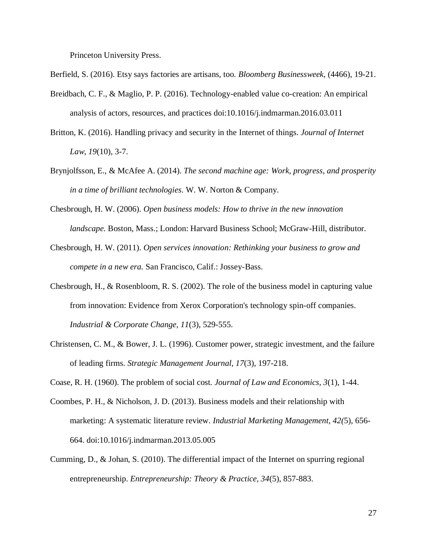Princeton University Press.

Berfield, S. (2016). Etsy says factories are artisans, too. *Bloomberg Businessweek,* (4466), 19-21.

- Breidbach, C. F., & Maglio, P. P. (2016). Technology-enabled value co-creation: An empirical analysis of actors, resources, and practices doi:10.1016/j.indmarman.2016.03.011
- Britton, K. (2016). Handling privacy and security in the Internet of things. *Journal of Internet Law, 19*(10), 3-7.
- Brynjolfsson, E., & McAfee A. (2014). *The second machine age: Work, progress, and prosperity in a time of brilliant technologies.* W. W. Norton & Company.
- Chesbrough, H. W. (2006). *Open business models: How to thrive in the new innovation landscape.* Boston, Mass.; London: Harvard Business School; McGraw-Hill, distributor.
- Chesbrough, H. W. (2011). *Open services innovation: Rethinking your business to grow and compete in a new era.* San Francisco, Calif.: Jossey-Bass.
- Chesbrough, H., & Rosenbloom, R. S. (2002). The role of the business model in capturing value from innovation: Evidence from Xerox Corporation's technology spin-off companies. *Industrial & Corporate Change, 11*(3), 529-555.
- Christensen, C. M., & Bower, J. L. (1996). Customer power, strategic investment, and the failure of leading firms. *Strategic Management Journal, 17*(3), 197-218.

Coase, R. H. (1960). The problem of social cost. *Journal of Law and Economics, 3*(1), 1-44.

- Coombes, P. H., & Nicholson, J. D. (2013). Business models and their relationship with marketing: A systematic literature review. *Industrial Marketing Management, 42(*5), 656- 664. doi:10.1016/j.indmarman.2013.05.005
- Cumming, D., & Johan, S. (2010). The differential impact of the Internet on spurring regional entrepreneurship. *Entrepreneurship: Theory & Practice, 34*(5), 857-883.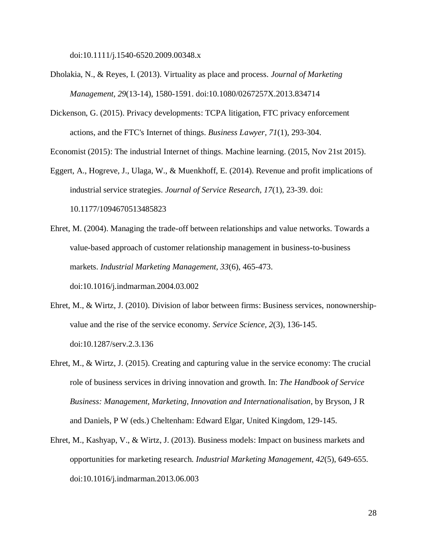doi:10.1111/j.1540-6520.2009.00348.x

- Dholakia, N., & Reyes, I. (2013). Virtuality as place and process. *Journal of Marketing Management, 29*(13-14), 1580-1591. doi:10.1080/0267257X.2013.834714
- Dickenson, G. (2015). Privacy developments: TCPA litigation, FTC privacy enforcement actions, and the FTC's Internet of things. *Business Lawyer, 71*(1), 293-304.

Economist (2015): The industrial Internet of things. Machine learning. (2015, Nov 21st 2015).

- Eggert, A., Hogreve, J., Ulaga, W., & Muenkhoff, E. (2014). Revenue and profit implications of industrial service strategies. *Journal of Service Research, 17*(1), 23-39. doi: 10.1177/1094670513485823
- Ehret, M. (2004). Managing the trade-off between relationships and value networks. Towards a value-based approach of customer relationship management in business-to-business markets. *Industrial Marketing Management, 33*(6), 465-473. doi:10.1016/j.indmarman.2004.03.002
- Ehret, M., & Wirtz, J. (2010). Division of labor between firms: Business services, nonownershipvalue and the rise of the service economy. *Service Science, 2*(3), 136-145. doi:10.1287/serv.2.3.136
- Ehret, M., & Wirtz, J. (2015). Creating and capturing value in the service economy: The crucial role of business services in driving innovation and growth. In: *The Handbook of Service Business: Management, Marketing, Innovation and Internationalisation*, by Bryson, J R and Daniels, P W (eds.) Cheltenham: Edward Elgar, United Kingdom, 129-145.
- Ehret, M., Kashyap, V., & Wirtz, J. (2013). Business models: Impact on business markets and opportunities for marketing research. *Industrial Marketing Management, 42*(5), 649-655. doi:10.1016/j.indmarman.2013.06.003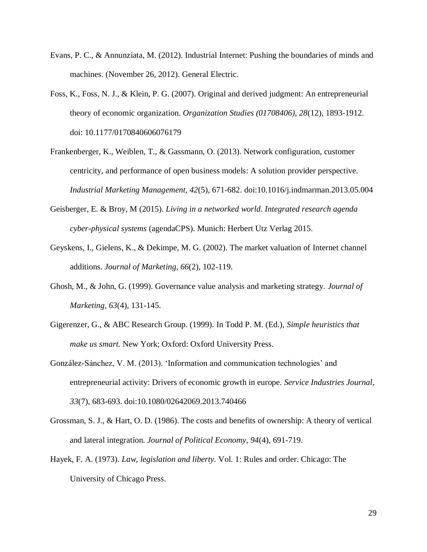- Evans, P. C., & Annunziata, M. (2012). Industrial Internet: Pushing the boundaries of minds and machines. (November 26, 2012). General Electric.
- Foss, K., Foss, N. J., & Klein, P. G. (2007). Original and derived judgment: An entrepreneurial theory of economic organization. *Organization Studies (01708406), 28*(12), 1893-1912. doi: 10.1177/0170840606076179
- Frankenberger, K., Weiblen, T., & Gassmann, O. (2013). Network configuration, customer centricity, and performance of open business models: A solution provider perspective. *Industrial Marketing Management, 42*(5), 671-682. doi:10.1016/j.indmarman.2013.05.004
- Geisberger, E. & Broy, M (2015). *Living in a networked world. Integrated research agenda cyber-physical systems* (agendaCPS). Munich: Herbert Utz Verlag 2015.
- Geyskens, I., Gielens, K., & Dekimpe, M. G. (2002). The market valuation of Internet channel additions. *Journal of Marketing, 66*(2), 102-119.
- Ghosh, M., & John, G. (1999). Governance value analysis and marketing strategy. *Journal of Marketing, 63*(4), 131-145.
- Gigerenzer, G., & ABC Research Group. (1999). In Todd P. M. (Ed.), *Simple heuristics that make us smart.* New York; Oxford: Oxford University Press.
- González-Sánchez, V. M. (2013). 'Information and communication technologies' and entrepreneurial activity: Drivers of economic growth in europe. *Service Industries Journal, 33*(7), 683-693. doi:10.1080/02642069.2013.740466
- Grossman, S. J., & Hart, O. D. (1986). The costs and benefits of ownership: A theory of vertical and lateral integration. *Journal of Political Economy, 94*(4), 691-719.
- Hayek, F. A. (1973). *Law, legislation and liberty.* Vol. 1: Rules and order. Chicago: The University of Chicago Press.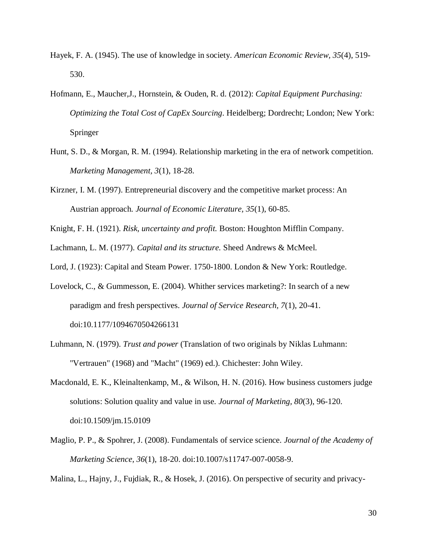- Hayek, F. A. (1945). The use of knowledge in society. *American Economic Review, 35*(4), 519- 530.
- Hofmann, E., Maucher,J., Hornstein, & Ouden, R. d. (2012): *Capital Equipment Purchasing: Optimizing the Total Cost of CapEx Sourcing*. Heidelberg; Dordrecht; London; New York: Springer
- Hunt, S. D., & Morgan, R. M. (1994). Relationship marketing in the era of network competition. *Marketing Management, 3*(1), 18-28.
- Kirzner, I. M. (1997). Entrepreneurial discovery and the competitive market process: An Austrian approach. *Journal of Economic Literature, 35*(1), 60-85.

Knight, F. H. (1921). *Risk, uncertainty and profit.* Boston: Houghton Mifflin Company.

Lachmann, L. M. (1977). *Capital and its structure.* Sheed Andrews & McMeel.

Lord, J. (1923): Capital and Steam Power. 1750-1800. London & New York: Routledge.

- Lovelock, C., & Gummesson, E. (2004). Whither services marketing?: In search of a new paradigm and fresh perspectives. *Journal of Service Research, 7*(1), 20-41. doi:10.1177/1094670504266131
- Luhmann, N. (1979). *Trust and power* (Translation of two originals by Niklas Luhmann: "Vertrauen" (1968) and "Macht" (1969) ed.). Chichester: John Wiley.
- Macdonald, E. K., Kleinaltenkamp, M., & Wilson, H. N. (2016). How business customers judge solutions: Solution quality and value in use. *Journal of Marketing, 80*(3), 96-120. doi:10.1509/jm.15.0109
- Maglio, P. P., & Spohrer, J. (2008). Fundamentals of service science. *Journal of the Academy of Marketing Science, 36*(1), 18-20. doi:10.1007/s11747-007-0058-9.

Malina, L., Hajny, J., Fujdiak, R., & Hosek, J. (2016). On perspective of security and privacy-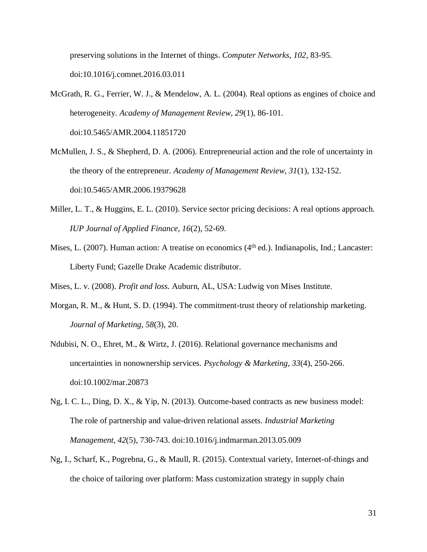preserving solutions in the Internet of things. *Computer Networks, 102*, 83-95. doi:10.1016/j.comnet.2016.03.011

- McGrath, R. G., Ferrier, W. J., & Mendelow, A. L. (2004). Real options as engines of choice and heterogeneity. *Academy of Management Review, 29*(1), 86-101. doi:10.5465/AMR.2004.11851720
- McMullen, J. S., & Shepherd, D. A. (2006). Entrepreneurial action and the role of uncertainty in the theory of the entrepreneur. *Academy of Management Review, 31*(1), 132-152. doi:10.5465/AMR.2006.19379628
- Miller, L. T., & Huggins, E. L. (2010). Service sector pricing decisions: A real options approach. *IUP Journal of Applied Finance, 16*(2), 52-69.
- Mises, L. (2007). Human action: A treatise on economics (4<sup>th</sup> ed.). Indianapolis, Ind.; Lancaster: Liberty Fund; Gazelle Drake Academic distributor.
- Mises, L. v. (2008). *Profit and loss.* Auburn, AL, USA: Ludwig von Mises Institute.
- Morgan, R. M., & Hunt, S. D. (1994). The commitment-trust theory of relationship marketing. *Journal of Marketing, 58*(3), 20.
- Ndubisi, N. O., Ehret, M., & Wirtz, J. (2016). Relational governance mechanisms and uncertainties in nonownership services. *Psychology & Marketing, 33*(4), 250-266. doi:10.1002/mar.20873
- Ng, I. C. L., Ding, D. X., & Yip, N. (2013). Outcome-based contracts as new business model: The role of partnership and value-driven relational assets. *Industrial Marketing Management, 42*(5), 730-743. doi:10.1016/j.indmarman.2013.05.009
- Ng, I., Scharf, K., Pogrebna, G., & Maull, R. (2015). Contextual variety, Internet-of-things and the choice of tailoring over platform: Mass customization strategy in supply chain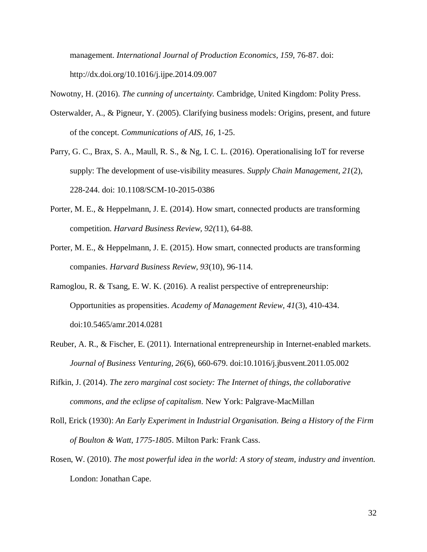management. *International Journal of Production Economics, 159,* 76-87. doi: http://dx.doi.org/10.1016/j.ijpe.2014.09.007

Nowotny, H. (2016). *The cunning of uncertainty.* Cambridge, United Kingdom: Polity Press.

- Osterwalder, A., & Pigneur, Y. (2005). Clarifying business models: Origins, present, and future of the concept. *Communications of AIS, 16,* 1-25.
- Parry, G. C., Brax, S. A., Maull, R. S., & Ng, I. C. L. (2016). Operationalising IoT for reverse supply: The development of use-visibility measures. *Supply Chain Management, 21*(2), 228-244. doi: 10.1108/SCM-10-2015-0386
- Porter, M. E., & Heppelmann, J. E. (2014). How smart, connected products are transforming competition. *Harvard Business Review, 92(*11), 64-88.
- Porter, M. E., & Heppelmann, J. E. (2015). How smart, connected products are transforming companies. *Harvard Business Review, 93*(10), 96-114.
- Ramoglou, R. & Tsang, E. W. K. (2016). A realist perspective of entrepreneurship: Opportunities as propensities. *Academy of Management Review, 41*(3), 410-434. doi:10.5465/amr.2014.0281
- Reuber, A. R., & Fischer, E. (2011). International entrepreneurship in Internet-enabled markets. *Journal of Business Venturing, 26*(6), 660-679. doi:10.1016/j.jbusvent.2011.05.002
- Rifkin, J. (2014). *The zero marginal cost society: The Internet of things, the collaborative commons, and the eclipse of capitalism.* New York: Palgrave-MacMillan
- Roll, Erick (1930): *An Early Experiment in Industrial Organisation. Being a History of the Firm of Boulton & Watt, 1775-1805*. Milton Park: Frank Cass.
- Rosen, W. (2010). *The most powerful idea in the world: A story of steam, industry and invention.* London: Jonathan Cape.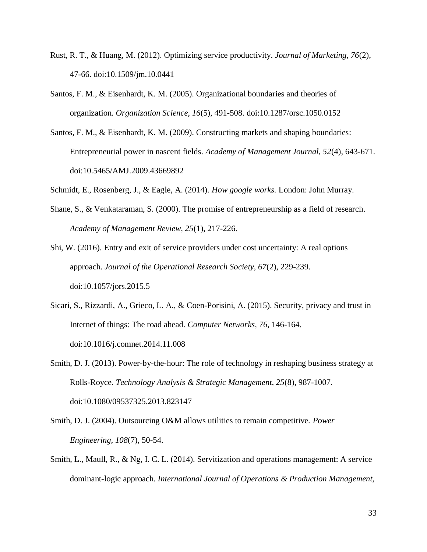- Rust, R. T., & Huang, M. (2012). Optimizing service productivity. *Journal of Marketing, 76*(2), 47-66. doi:10.1509/jm.10.0441
- Santos, F. M., & Eisenhardt, K. M. (2005). Organizational boundaries and theories of organization. *Organization Science, 16*(5), 491-508. doi:10.1287/orsc.1050.0152
- Santos, F. M., & Eisenhardt, K. M. (2009). Constructing markets and shaping boundaries: Entrepreneurial power in nascent fields. *Academy of Management Journal, 52*(4), 643-671. doi:10.5465/AMJ.2009.43669892
- Schmidt, E., Rosenberg, J., & Eagle, A. (2014). *How google works.* London: John Murray.
- Shane, S., & Venkataraman, S. (2000). The promise of entrepreneurship as a field of research. *Academy of Management Review, 25*(1), 217-226.

Shi, W. (2016). Entry and exit of service providers under cost uncertainty: A real options approach. *Journal of the Operational Research Society, 67*(2), 229-239. doi:10.1057/jors.2015.5

- Sicari, S., Rizzardi, A., Grieco, L. A., & Coen-Porisini, A. (2015). Security, privacy and trust in Internet of things: The road ahead. *Computer Networks, 76,* 146-164. doi:10.1016/j.comnet.2014.11.008
- Smith, D. J. (2013). Power-by-the-hour: The role of technology in reshaping business strategy at Rolls-Royce. *Technology Analysis & Strategic Management, 25*(8), 987-1007. doi:10.1080/09537325.2013.823147
- Smith, D. J. (2004). Outsourcing O&M allows utilities to remain competitive. *Power Engineering, 108*(7), 50-54.
- Smith, L., Maull, R., & Ng, I. C. L. (2014). Servitization and operations management: A service dominant-logic approach. *International Journal of Operations & Production Management,*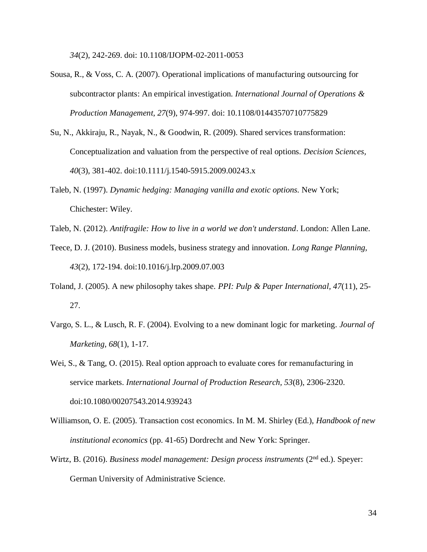*34*(2), 242-269. doi: 10.1108/IJOPM-02-2011-0053

- Sousa, R., & Voss, C. A. (2007). Operational implications of manufacturing outsourcing for subcontractor plants: An empirical investigation. *International Journal of Operations & Production Management, 27*(9), 974-997. doi: 10.1108/01443570710775829
- Su, N., Akkiraju, R., Nayak, N., & Goodwin, R. (2009). Shared services transformation: Conceptualization and valuation from the perspective of real options. *Decision Sciences, 40*(3), 381-402. doi:10.1111/j.1540-5915.2009.00243.x
- Taleb, N. (1997). *Dynamic hedging: Managing vanilla and exotic options.* New York; Chichester: Wiley.
- Taleb, N. (2012). *Antifragile: How to live in a world we don't understand*. London: Allen Lane.
- Teece, D. J. (2010). Business models, business strategy and innovation. *Long Range Planning, 43*(2), 172-194. doi:10.1016/j.lrp.2009.07.003
- Toland, J. (2005). A new philosophy takes shape. *PPI: Pulp & Paper International, 47*(11), 25- 27.
- Vargo, S. L., & Lusch, R. F. (2004). Evolving to a new dominant logic for marketing*. Journal of Marketing, 68*(1), 1-17.

Wei, S., & Tang, O. (2015). Real option approach to evaluate cores for remanufacturing in service markets. *International Journal of Production Research, 53*(8), 2306-2320. doi:10.1080/00207543.2014.939243

- Williamson, O. E. (2005). Transaction cost economics. In M. M. Shirley (Ed.), *Handbook of new institutional economics* (pp. 41-65) Dordrecht and New York: Springer.
- Wirtz, B. (2016). *Business model management: Design process instruments* (2<sup>nd</sup> ed.). Speyer: German University of Administrative Science.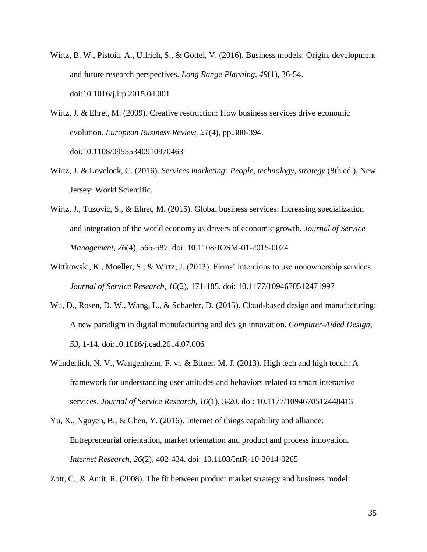- Wirtz, B. W., Pistoia, A., Ullrich, S., & Göttel, V. (2016). Business models: Origin, development and future research perspectives. *Long Range Planning, 49*(1), 36-54. doi:10.1016/j.lrp.2015.04.001
- Wirtz, J. & Ehret, M. (2009). Creative restruction: How business services drive economic evolution. *European Business Review, 21*(4), pp.380-394. doi:10.1108/09555340910970463
- Wirtz, J. & Lovelock, C. (2016). *Services marketing: People, technology, strategy* (8th ed.), New Jersey: World Scientific.
- Wirtz, J., Tuzovic, S., & Ehret, M. (2015). Global business services: Increasing specialization and integration of the world economy as drivers of economic growth. *Journal of Service Management, 26*(4), 565-587. doi: 10.1108/JOSM-01-2015-0024
- Wittkowski, K., Moeller, S., & Wirtz, J. (2013). Firms' intentions to use nonownership services. *Journal of Service Research, 16*(2), 171-185. doi: 10.1177/1094670512471997
- Wu, D., Rosen, D. W., Wang, L., & Schaefer, D. (2015). Cloud-based design and manufacturing: A new paradigm in digital manufacturing and design innovation. *Computer-Aided Design, 59*, 1-14. doi:10.1016/j.cad.2014.07.006
- Wünderlich, N. V., Wangenheim, F. v., & Bitner, M. J. (2013). High tech and high touch: A framework for understanding user attitudes and behaviors related to smart interactive services. *Journal of Service Research, 16*(1), 3-20. doi: 10.1177/1094670512448413
- Yu, X., Nguyen, B., & Chen, Y. (2016). Internet of things capability and alliance: Entrepreneurial orientation, market orientation and product and process innovation. *Internet Research, 26*(2), 402-434. doi: 10.1108/IntR-10-2014-0265

Zott, C., & Amit, R. (2008). The fit between product market strategy and business model: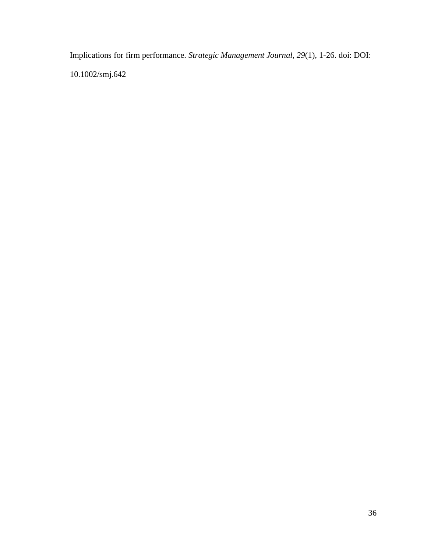Implications for firm performance. *Strategic Management Journal, 29*(1), 1-26. doi: DOI: 10.1002/smj.642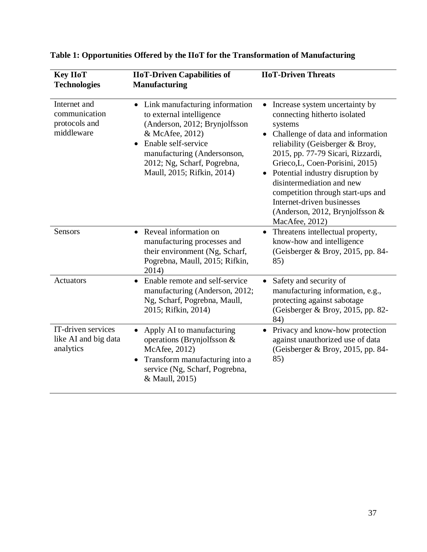| <b>Key IIoT</b><br><b>Technologies</b>                       | <b>IIoT-Driven Capabilities of</b><br><b>Manufacturing</b>                                                                                                                                                                                                  | <b>IIoT-Driven Threats</b>                                                                                                                                                                                                                                                                                                                                                                                                                   |
|--------------------------------------------------------------|-------------------------------------------------------------------------------------------------------------------------------------------------------------------------------------------------------------------------------------------------------------|----------------------------------------------------------------------------------------------------------------------------------------------------------------------------------------------------------------------------------------------------------------------------------------------------------------------------------------------------------------------------------------------------------------------------------------------|
| Internet and<br>communication<br>protocols and<br>middleware | Link manufacturing information<br>$\bullet$<br>to external intelligence<br>(Anderson, 2012; Brynjolfsson<br>& McAfee, 2012)<br>Enable self-service<br>$\bullet$<br>manufacturing (Andersonson,<br>2012; Ng, Scharf, Pogrebna,<br>Maull, 2015; Rifkin, 2014) | Increase system uncertainty by<br>connecting hitherto isolated<br>systems<br>Challenge of data and information<br>$\bullet$<br>reliability (Geisberger & Broy,<br>2015, pp. 77-79 Sicari, Rizzardi,<br>Grieco, L, Coen-Porisini, 2015)<br>Potential industry disruption by<br>$\bullet$<br>disintermediation and new<br>competition through start-ups and<br>Internet-driven businesses<br>(Anderson, 2012, Brynjolfsson &<br>MacAfee, 2012) |
| Sensors                                                      | Reveal information on<br>$\bullet$<br>manufacturing processes and<br>their environment (Ng, Scharf,<br>Pogrebna, Maull, 2015; Rifkin,<br>2014)                                                                                                              | Threatens intellectual property,<br>$\bullet$<br>know-how and intelligence<br>(Geisberger & Broy, 2015, pp. 84-<br>85)                                                                                                                                                                                                                                                                                                                       |
| <b>Actuators</b>                                             | Enable remote and self-service<br>$\bullet$<br>manufacturing (Anderson, 2012;<br>Ng, Scharf, Pogrebna, Maull,<br>2015; Rifkin, 2014)                                                                                                                        | Safety and security of<br>$\bullet$<br>manufacturing information, e.g.,<br>protecting against sabotage<br>(Geisberger & Broy, 2015, pp. 82-<br>84)                                                                                                                                                                                                                                                                                           |
| IT-driven services<br>like AI and big data<br>analytics      | Apply AI to manufacturing<br>$\bullet$<br>operations (Brynjolfsson $&$<br>McAfee, 2012)<br>Transform manufacturing into a<br>$\bullet$<br>service (Ng, Scharf, Pogrebna,<br>& Maull, 2015)                                                                  | Privacy and know-how protection<br>٠<br>against unauthorized use of data<br>(Geisberger & Broy, 2015, pp. 84-<br>85)                                                                                                                                                                                                                                                                                                                         |

# **Table 1: Opportunities Offered by the IIoT for the Transformation of Manufacturing**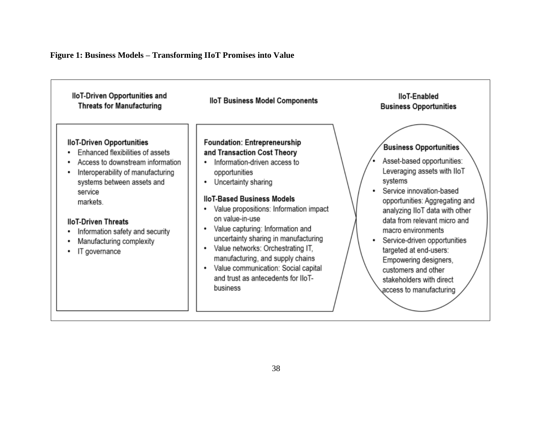